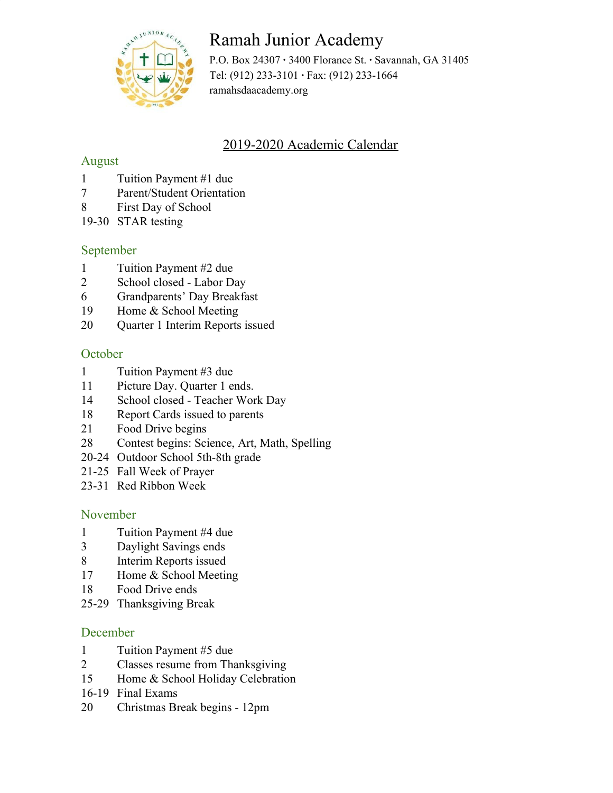

# Ramah Junior Academy

P.O. Box 24307 **·** 3400 Florance St. **·** Savannah, GA 31405 Tel: (912) 233-3101 **·** Fax: (912) 233-1664 ramahsdaacademy.org

# 2019-2020 Academic Calendar

## August

- 1 Tuition Payment #1 due
- 7 Parent/Student Orientation
- 8 First Day of School
- 19-30 STAR testing

# September

- 1 Tuition Payment #2 due
- 2 School closed Labor Day
- 6 Grandparents' Day Breakfast
- 19 Home & School Meeting
- 20 Quarter 1 Interim Reports issued

### **October**

- 1 Tuition Payment #3 due
- 11 Picture Day. Quarter 1 ends.
- 14 School closed Teacher Work Day
- 18 Report Cards issued to parents
- 21 Food Drive begins
- 28 Contest begins: Science, Art, Math, Spelling
- 20-24 Outdoor School 5th-8th grade
- 21-25 Fall Week of Prayer
- 23-31 Red Ribbon Week

#### November

- 1 Tuition Payment #4 due
- 3 Daylight Savings ends
- 8 Interim Reports issued
- 17 Home & School Meeting
- 18 Food Drive ends
- 25-29 Thanksgiving Break

#### December

- 1 Tuition Payment #5 due
- 2 Classes resume from Thanksgiving
- 15 Home & School Holiday Celebration
- 16-19 Final Exams
- 20 Christmas Break begins 12pm